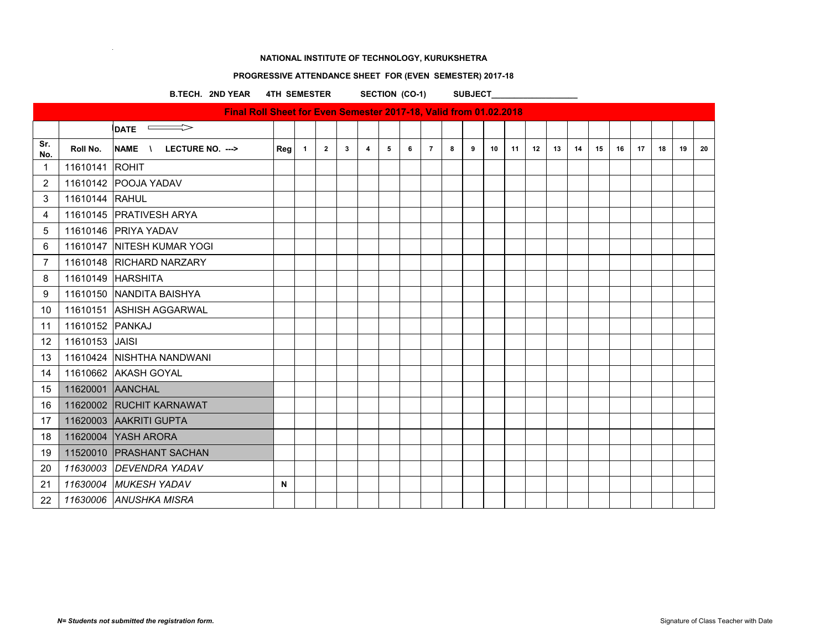# **PROGRESSIVE ATTENDANCE SHEET FOR (EVEN SEMESTER) 2017-18**

B.TECH. 2ND YEAR 4TH SEMESTER SECTION (CO-1) SUBJECT\_\_\_\_\_\_\_\_\_\_\_\_\_\_\_\_\_\_\_\_\_\_\_\_\_\_\_\_\_

| Final Roll Sheet for Even Semester 2017-18, Valid from 01.02.2018 |                  |                            |     |                |                |              |   |   |   |                |   |   |    |    |    |    |    |    |    |    |    |    |    |
|-------------------------------------------------------------------|------------------|----------------------------|-----|----------------|----------------|--------------|---|---|---|----------------|---|---|----|----|----|----|----|----|----|----|----|----|----|
|                                                                   |                  | $\overline{\text{DATE}}$   |     |                |                |              |   |   |   |                |   |   |    |    |    |    |    |    |    |    |    |    |    |
| Sr.<br>No.                                                        | Roll No.         | NAME \ LECTURE NO. --->    | Reg | $\overline{1}$ | $\overline{2}$ | $\mathbf{3}$ | 4 | 5 | 6 | $\overline{7}$ | 8 | 9 | 10 | 11 | 12 | 13 | 14 | 15 | 16 | 17 | 18 | 19 | 20 |
| $\mathbf{1}$                                                      | 11610141 ROHIT   |                            |     |                |                |              |   |   |   |                |   |   |    |    |    |    |    |    |    |    |    |    |    |
| $\overline{2}$                                                    |                  | 11610142 POOJA YADAV       |     |                |                |              |   |   |   |                |   |   |    |    |    |    |    |    |    |    |    |    |    |
| 3                                                                 | 11610144 RAHUL   |                            |     |                |                |              |   |   |   |                |   |   |    |    |    |    |    |    |    |    |    |    |    |
| 4                                                                 |                  | 11610145 PRATIVESH ARYA    |     |                |                |              |   |   |   |                |   |   |    |    |    |    |    |    |    |    |    |    |    |
| 5                                                                 |                  | 11610146 PRIYA YADAV       |     |                |                |              |   |   |   |                |   |   |    |    |    |    |    |    |    |    |    |    |    |
| 6                                                                 |                  | 11610147 NITESH KUMAR YOGI |     |                |                |              |   |   |   |                |   |   |    |    |    |    |    |    |    |    |    |    |    |
| 7                                                                 |                  | 11610148 RICHARD NARZARY   |     |                |                |              |   |   |   |                |   |   |    |    |    |    |    |    |    |    |    |    |    |
| 8                                                                 |                  | 11610149 HARSHITA          |     |                |                |              |   |   |   |                |   |   |    |    |    |    |    |    |    |    |    |    |    |
| 9                                                                 |                  | 11610150 NANDITA BAISHYA   |     |                |                |              |   |   |   |                |   |   |    |    |    |    |    |    |    |    |    |    |    |
| 10                                                                |                  | 11610151 ASHISH AGGARWAL   |     |                |                |              |   |   |   |                |   |   |    |    |    |    |    |    |    |    |    |    |    |
| 11                                                                | 11610152 PANKAJ  |                            |     |                |                |              |   |   |   |                |   |   |    |    |    |    |    |    |    |    |    |    |    |
| 12                                                                | 11610153 JAISI   |                            |     |                |                |              |   |   |   |                |   |   |    |    |    |    |    |    |    |    |    |    |    |
| 13                                                                |                  | 11610424 NISHTHA NANDWANI  |     |                |                |              |   |   |   |                |   |   |    |    |    |    |    |    |    |    |    |    |    |
| 14                                                                |                  | 11610662 AKASH GOYAL       |     |                |                |              |   |   |   |                |   |   |    |    |    |    |    |    |    |    |    |    |    |
| 15                                                                | 11620001 AANCHAL |                            |     |                |                |              |   |   |   |                |   |   |    |    |    |    |    |    |    |    |    |    |    |
| 16                                                                |                  | 11620002 RUCHIT KARNAWAT   |     |                |                |              |   |   |   |                |   |   |    |    |    |    |    |    |    |    |    |    |    |
| 17                                                                |                  | 11620003 AAKRITI GUPTA     |     |                |                |              |   |   |   |                |   |   |    |    |    |    |    |    |    |    |    |    |    |
| 18                                                                |                  | 11620004 YASH ARORA        |     |                |                |              |   |   |   |                |   |   |    |    |    |    |    |    |    |    |    |    |    |
| 19                                                                |                  | 11520010 PRASHANT SACHAN   |     |                |                |              |   |   |   |                |   |   |    |    |    |    |    |    |    |    |    |    |    |
| 20                                                                |                  | 11630003 DEVENDRA YADAV    |     |                |                |              |   |   |   |                |   |   |    |    |    |    |    |    |    |    |    |    |    |
| 21                                                                |                  | 11630004 MUKESH YADAV      | N   |                |                |              |   |   |   |                |   |   |    |    |    |    |    |    |    |    |    |    |    |
| 22                                                                |                  | 11630006 ANUSHKA MISRA     |     |                |                |              |   |   |   |                |   |   |    |    |    |    |    |    |    |    |    |    |    |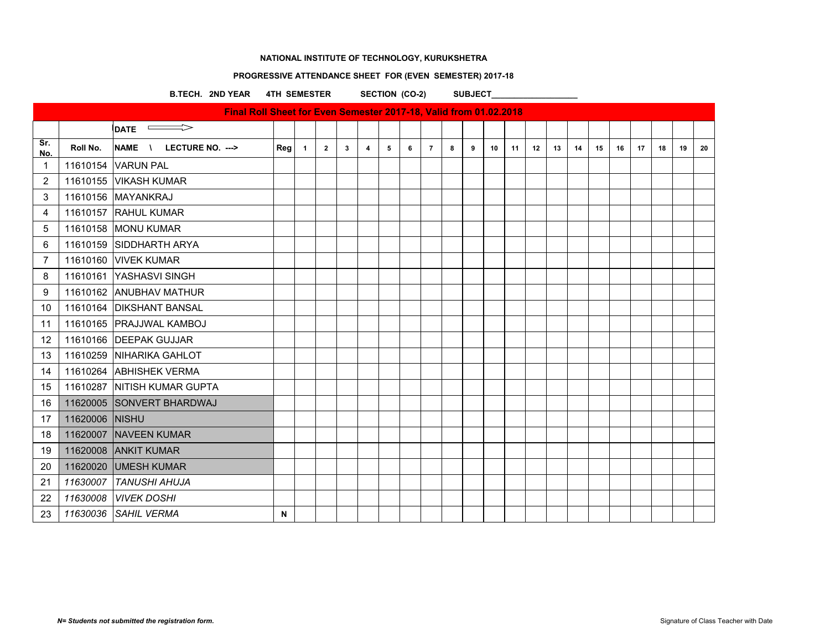# **PROGRESSIVE ATTENDANCE SHEET FOR (EVEN SEMESTER) 2017-18**

B.TECH. 2ND YEAR 4TH SEMESTER SECTION (CO-2) SUBJECT\_\_\_\_\_\_\_\_\_\_\_\_\_\_\_

| Final Roll Sheet for Even Semester 2017-18, Valid from 01.02.2018<br>$\implies$<br><b>DATE</b> |          |                                                  |     |                |                         |   |   |   |   |                |   |   |    |    |    |    |    |    |    |    |    |    |    |
|------------------------------------------------------------------------------------------------|----------|--------------------------------------------------|-----|----------------|-------------------------|---|---|---|---|----------------|---|---|----|----|----|----|----|----|----|----|----|----|----|
|                                                                                                |          |                                                  |     |                |                         |   |   |   |   |                |   |   |    |    |    |    |    |    |    |    |    |    |    |
| Sr.<br>No.                                                                                     | Roll No. | <b>NAME</b><br>LECTURE NO. ---><br>$\mathcal{N}$ | Reg | $\overline{1}$ | $\overline{\mathbf{2}}$ | 3 | 4 | 5 | 6 | $\overline{7}$ | 8 | 9 | 10 | 11 | 12 | 13 | 14 | 15 | 16 | 17 | 18 | 19 | 20 |
| 1                                                                                              |          | 11610154 VARUN PAL                               |     |                |                         |   |   |   |   |                |   |   |    |    |    |    |    |    |    |    |    |    |    |
| $\overline{c}$                                                                                 | 11610155 | <b>VIKASH KUMAR</b>                              |     |                |                         |   |   |   |   |                |   |   |    |    |    |    |    |    |    |    |    |    |    |
| 3                                                                                              |          | 11610156 MAYANKRAJ                               |     |                |                         |   |   |   |   |                |   |   |    |    |    |    |    |    |    |    |    |    |    |
| 4                                                                                              |          | 11610157 RAHUL KUMAR                             |     |                |                         |   |   |   |   |                |   |   |    |    |    |    |    |    |    |    |    |    |    |
| 5                                                                                              |          | 11610158 MONU KUMAR                              |     |                |                         |   |   |   |   |                |   |   |    |    |    |    |    |    |    |    |    |    |    |
| 6                                                                                              |          | 11610159 SIDDHARTH ARYA                          |     |                |                         |   |   |   |   |                |   |   |    |    |    |    |    |    |    |    |    |    |    |
| $\overline{7}$                                                                                 |          | 11610160 VIVEK KUMAR                             |     |                |                         |   |   |   |   |                |   |   |    |    |    |    |    |    |    |    |    |    |    |
| 8                                                                                              |          | 11610161 YASHASVI SINGH                          |     |                |                         |   |   |   |   |                |   |   |    |    |    |    |    |    |    |    |    |    |    |
| 9                                                                                              |          | 11610162 ANUBHAV MATHUR                          |     |                |                         |   |   |   |   |                |   |   |    |    |    |    |    |    |    |    |    |    |    |
| 10                                                                                             |          | 11610164 DIKSHANT BANSAL                         |     |                |                         |   |   |   |   |                |   |   |    |    |    |    |    |    |    |    |    |    |    |
| 11                                                                                             |          | 11610165 PRAJJWAL KAMBOJ                         |     |                |                         |   |   |   |   |                |   |   |    |    |    |    |    |    |    |    |    |    |    |
| 12                                                                                             |          | 11610166 DEEPAK GUJJAR                           |     |                |                         |   |   |   |   |                |   |   |    |    |    |    |    |    |    |    |    |    |    |
| 13                                                                                             |          | 11610259 NIHARIKA GAHLOT                         |     |                |                         |   |   |   |   |                |   |   |    |    |    |    |    |    |    |    |    |    |    |
| 14                                                                                             |          | 11610264 ABHISHEK VERMA                          |     |                |                         |   |   |   |   |                |   |   |    |    |    |    |    |    |    |    |    |    |    |
| 15                                                                                             |          | 11610287 NITISH KUMAR GUPTA                      |     |                |                         |   |   |   |   |                |   |   |    |    |    |    |    |    |    |    |    |    |    |
| 16                                                                                             |          | 11620005 SONVERT BHARDWAJ                        |     |                |                         |   |   |   |   |                |   |   |    |    |    |    |    |    |    |    |    |    |    |
| 17                                                                                             | 11620006 | <b>NISHU</b>                                     |     |                |                         |   |   |   |   |                |   |   |    |    |    |    |    |    |    |    |    |    |    |
| 18                                                                                             |          | 11620007 NAVEEN KUMAR                            |     |                |                         |   |   |   |   |                |   |   |    |    |    |    |    |    |    |    |    |    |    |
| 19                                                                                             | 11620008 | <b>ANKIT KUMAR</b>                               |     |                |                         |   |   |   |   |                |   |   |    |    |    |    |    |    |    |    |    |    |    |
| 20                                                                                             | 11620020 | <b>UMESH KUMAR</b>                               |     |                |                         |   |   |   |   |                |   |   |    |    |    |    |    |    |    |    |    |    |    |
| 21                                                                                             | 11630007 | <b>TANUSHI AHUJA</b>                             |     |                |                         |   |   |   |   |                |   |   |    |    |    |    |    |    |    |    |    |    |    |
| 22                                                                                             | 11630008 | <b>VIVEK DOSHI</b>                               |     |                |                         |   |   |   |   |                |   |   |    |    |    |    |    |    |    |    |    |    |    |
| 23                                                                                             | 11630036 | <b>SAHIL VERMA</b>                               | N   |                |                         |   |   |   |   |                |   |   |    |    |    |    |    |    |    |    |    |    |    |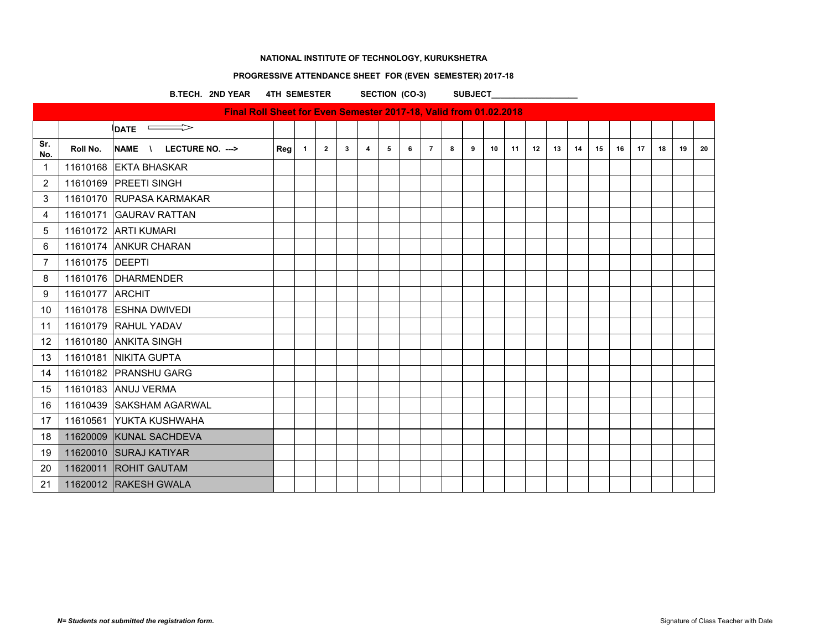# **PROGRESSIVE ATTENDANCE SHEET FOR (EVEN SEMESTER) 2017-18**

B.TECH. 2ND YEAR 4TH SEMESTER SECTION (CO-3) SUBJECT\_\_\_\_\_\_\_\_\_\_\_\_\_\_\_\_\_\_\_\_\_\_\_\_\_\_\_\_\_

| Final Roll Sheet for Even Semester 2017-18, Valid from 01.02.2018<br>$\qquad \qquad \Longrightarrow$ |                 |                            |     |                |                |              |                |   |   |                |   |   |    |    |    |    |    |    |    |    |    |    |    |
|------------------------------------------------------------------------------------------------------|-----------------|----------------------------|-----|----------------|----------------|--------------|----------------|---|---|----------------|---|---|----|----|----|----|----|----|----|----|----|----|----|
|                                                                                                      |                 | <b>DATE</b>                |     |                |                |              |                |   |   |                |   |   |    |    |    |    |    |    |    |    |    |    |    |
| Sr.<br>No.                                                                                           | Roll No.        | NAME \<br>LECTURE NO. ---> | Reg | $\overline{1}$ | $\overline{2}$ | $\mathbf{3}$ | $\overline{4}$ | 5 | 6 | $\overline{7}$ | 8 | 9 | 10 | 11 | 12 | 13 | 14 | 15 | 16 | 17 | 18 | 19 | 20 |
| $\mathbf 1$                                                                                          |                 | 11610168 EKTA BHASKAR      |     |                |                |              |                |   |   |                |   |   |    |    |    |    |    |    |    |    |    |    |    |
| 2                                                                                                    |                 | 11610169 PREETI SINGH      |     |                |                |              |                |   |   |                |   |   |    |    |    |    |    |    |    |    |    |    |    |
| 3                                                                                                    |                 | 11610170 RUPASA KARMAKAR   |     |                |                |              |                |   |   |                |   |   |    |    |    |    |    |    |    |    |    |    |    |
| 4                                                                                                    |                 | 11610171 GAURAV RATTAN     |     |                |                |              |                |   |   |                |   |   |    |    |    |    |    |    |    |    |    |    |    |
| 5                                                                                                    |                 | 11610172 ARTI KUMARI       |     |                |                |              |                |   |   |                |   |   |    |    |    |    |    |    |    |    |    |    |    |
| 6                                                                                                    |                 | 11610174 ANKUR CHARAN      |     |                |                |              |                |   |   |                |   |   |    |    |    |    |    |    |    |    |    |    |    |
| $\overline{7}$                                                                                       | 11610175 DEEPTI |                            |     |                |                |              |                |   |   |                |   |   |    |    |    |    |    |    |    |    |    |    |    |
| 8                                                                                                    |                 | 11610176 DHARMENDER        |     |                |                |              |                |   |   |                |   |   |    |    |    |    |    |    |    |    |    |    |    |
| 9                                                                                                    | 11610177 ARCHIT |                            |     |                |                |              |                |   |   |                |   |   |    |    |    |    |    |    |    |    |    |    |    |
| 10                                                                                                   |                 | 11610178 ESHNA DWIVEDI     |     |                |                |              |                |   |   |                |   |   |    |    |    |    |    |    |    |    |    |    |    |
| 11                                                                                                   |                 | 11610179 RAHUL YADAV       |     |                |                |              |                |   |   |                |   |   |    |    |    |    |    |    |    |    |    |    |    |
| 12                                                                                                   |                 | 11610180 ANKITA SINGH      |     |                |                |              |                |   |   |                |   |   |    |    |    |    |    |    |    |    |    |    |    |
| 13                                                                                                   |                 | 11610181 NIKITA GUPTA      |     |                |                |              |                |   |   |                |   |   |    |    |    |    |    |    |    |    |    |    |    |
| 14                                                                                                   |                 | 11610182 PRANSHU GARG      |     |                |                |              |                |   |   |                |   |   |    |    |    |    |    |    |    |    |    |    |    |
| 15                                                                                                   |                 | 11610183 ANUJ VERMA        |     |                |                |              |                |   |   |                |   |   |    |    |    |    |    |    |    |    |    |    |    |
| 16                                                                                                   |                 | 11610439 SAKSHAM AGARWAL   |     |                |                |              |                |   |   |                |   |   |    |    |    |    |    |    |    |    |    |    |    |
| 17                                                                                                   |                 | 11610561 YUKTA KUSHWAHA    |     |                |                |              |                |   |   |                |   |   |    |    |    |    |    |    |    |    |    |    |    |
| 18                                                                                                   |                 | 11620009 KUNAL SACHDEVA    |     |                |                |              |                |   |   |                |   |   |    |    |    |    |    |    |    |    |    |    |    |
| 19                                                                                                   |                 | 11620010 SURAJ KATIYAR     |     |                |                |              |                |   |   |                |   |   |    |    |    |    |    |    |    |    |    |    |    |
| 20                                                                                                   |                 | 11620011 ROHIT GAUTAM      |     |                |                |              |                |   |   |                |   |   |    |    |    |    |    |    |    |    |    |    |    |
| 21                                                                                                   |                 | 11620012 RAKESH GWALA      |     |                |                |              |                |   |   |                |   |   |    |    |    |    |    |    |    |    |    |    |    |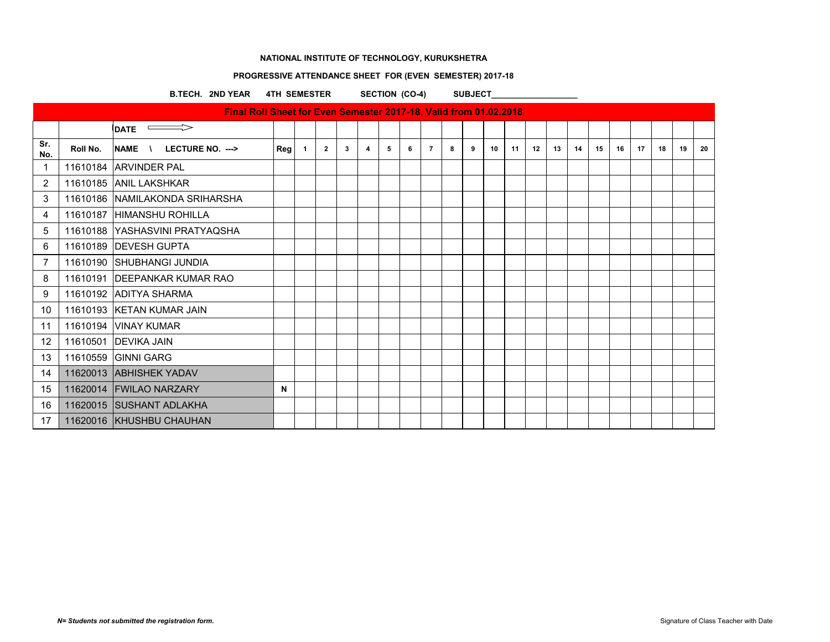# **PROGRESSIVE ATTENDANCE SHEET FOR (EVEN SEMESTER) 2017-18**

B.TECH. 2ND YEAR 4TH SEMESTER SECTION (CO-4) SUBJECT\_\_\_\_\_\_\_\_\_\_\_\_\_\_\_\_\_\_\_\_\_\_\_\_\_\_\_\_\_

|            | Final Roll Sheet for Even Semester 2017-18, Valid from 01.02.2018 |                                                  |             |              |                |              |   |   |   |                |   |   |    |    |    |    |    |    |    |    |    |    |    |
|------------|-------------------------------------------------------------------|--------------------------------------------------|-------------|--------------|----------------|--------------|---|---|---|----------------|---|---|----|----|----|----|----|----|----|----|----|----|----|
|            |                                                                   | $\implies$<br><b>DATE</b>                        |             |              |                |              |   |   |   |                |   |   |    |    |    |    |    |    |    |    |    |    |    |
| Sr.<br>No. | Roll No.                                                          | <b>NAME</b><br>LECTURE NO. ---><br>$\mathcal{N}$ | Reg         | $\mathbf{1}$ | $\overline{2}$ | $\mathbf{3}$ | 4 | 5 | 6 | $\overline{7}$ | 8 | 9 | 10 | 11 | 12 | 13 | 14 | 15 | 16 | 17 | 18 | 19 | 20 |
| -1         |                                                                   | 11610184 ARVINDER PAL                            |             |              |                |              |   |   |   |                |   |   |    |    |    |    |    |    |    |    |    |    |    |
| 2          |                                                                   | 11610185 ANIL LAKSHKAR                           |             |              |                |              |   |   |   |                |   |   |    |    |    |    |    |    |    |    |    |    |    |
| 3          |                                                                   | 11610186 NAMILAKONDA SRIHARSHA                   |             |              |                |              |   |   |   |                |   |   |    |    |    |    |    |    |    |    |    |    |    |
| 4          |                                                                   | 11610187 HIMANSHU ROHILLA                        |             |              |                |              |   |   |   |                |   |   |    |    |    |    |    |    |    |    |    |    |    |
| 5          |                                                                   | 11610188 YASHASVINI PRATYAQSHA                   |             |              |                |              |   |   |   |                |   |   |    |    |    |    |    |    |    |    |    |    |    |
| 6          |                                                                   | 11610189 DEVESH GUPTA                            |             |              |                |              |   |   |   |                |   |   |    |    |    |    |    |    |    |    |    |    |    |
| 7          |                                                                   | 11610190 SHUBHANGI JUNDIA                        |             |              |                |              |   |   |   |                |   |   |    |    |    |    |    |    |    |    |    |    |    |
| 8          |                                                                   | 11610191 DEEPANKAR KUMAR RAO                     |             |              |                |              |   |   |   |                |   |   |    |    |    |    |    |    |    |    |    |    |    |
| 9          |                                                                   | 11610192 ADITYA SHARMA                           |             |              |                |              |   |   |   |                |   |   |    |    |    |    |    |    |    |    |    |    |    |
| 10         |                                                                   | 11610193 KETAN KUMAR JAIN                        |             |              |                |              |   |   |   |                |   |   |    |    |    |    |    |    |    |    |    |    |    |
| 11         |                                                                   | 11610194 VINAY KUMAR                             |             |              |                |              |   |   |   |                |   |   |    |    |    |    |    |    |    |    |    |    |    |
| $12 \,$    |                                                                   | 11610501 DEVIKA JAIN                             |             |              |                |              |   |   |   |                |   |   |    |    |    |    |    |    |    |    |    |    |    |
| 13         |                                                                   | 11610559 GINNI GARG                              |             |              |                |              |   |   |   |                |   |   |    |    |    |    |    |    |    |    |    |    |    |
| 14         |                                                                   | 11620013 ABHISHEK YADAV                          |             |              |                |              |   |   |   |                |   |   |    |    |    |    |    |    |    |    |    |    |    |
| 15         |                                                                   | 11620014 FWILAO NARZARY                          | $\mathbf N$ |              |                |              |   |   |   |                |   |   |    |    |    |    |    |    |    |    |    |    |    |
| 16         |                                                                   | 11620015 SUSHANT ADLAKHA                         |             |              |                |              |   |   |   |                |   |   |    |    |    |    |    |    |    |    |    |    |    |
| 17         |                                                                   | 11620016 KHUSHBU CHAUHAN                         |             |              |                |              |   |   |   |                |   |   |    |    |    |    |    |    |    |    |    |    |    |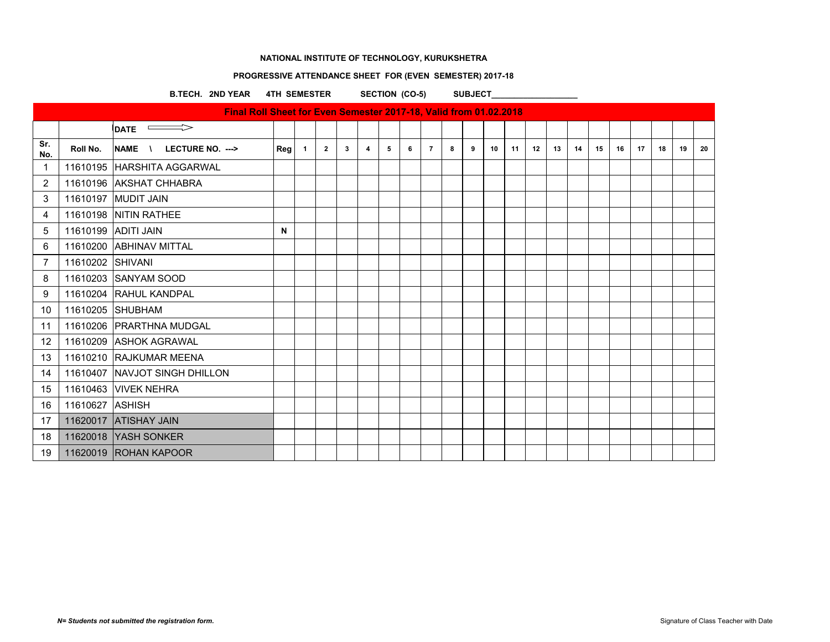# **PROGRESSIVE ATTENDANCE SHEET FOR (EVEN SEMESTER) 2017-18**

B.TECH. 2ND YEAR 4TH SEMESTER SECTION (CO-5) SUBJECT\_\_\_\_\_\_\_\_\_\_\_\_\_\_\_\_\_\_\_\_\_\_\_\_\_\_\_\_

| Final Roll Sheet for Even Semester 2017-18, Valid from 01.02.2018 |                  |                                                  |     |                |              |                         |                |   |   |                |   |   |    |    |    |    |    |    |    |    |    |    |    |
|-------------------------------------------------------------------|------------------|--------------------------------------------------|-----|----------------|--------------|-------------------------|----------------|---|---|----------------|---|---|----|----|----|----|----|----|----|----|----|----|----|
|                                                                   |                  | $\implies$<br><b>DATE</b>                        |     |                |              |                         |                |   |   |                |   |   |    |    |    |    |    |    |    |    |    |    |    |
| Sr.<br>No.                                                        | Roll No.         | <b>NAME</b><br>LECTURE NO. ---><br>$\mathcal{N}$ | Reg | $\overline{1}$ | $\mathbf{2}$ | $\overline{\mathbf{3}}$ | $\overline{4}$ | 5 | 6 | $\overline{7}$ | 8 | 9 | 10 | 11 | 12 | 13 | 14 | 15 | 16 | 17 | 18 | 19 | 20 |
| $\mathbf{1}$                                                      |                  | 11610195 HARSHITA AGGARWAL                       |     |                |              |                         |                |   |   |                |   |   |    |    |    |    |    |    |    |    |    |    |    |
| 2                                                                 |                  | 11610196 AKSHAT CHHABRA                          |     |                |              |                         |                |   |   |                |   |   |    |    |    |    |    |    |    |    |    |    |    |
| 3                                                                 |                  | 11610197 MUDIT JAIN                              |     |                |              |                         |                |   |   |                |   |   |    |    |    |    |    |    |    |    |    |    |    |
| 4                                                                 |                  | 11610198 NITIN RATHEE                            |     |                |              |                         |                |   |   |                |   |   |    |    |    |    |    |    |    |    |    |    |    |
| 5                                                                 |                  | 11610199 ADITI JAIN                              | N   |                |              |                         |                |   |   |                |   |   |    |    |    |    |    |    |    |    |    |    |    |
| 6                                                                 |                  | 11610200 ABHINAV MITTAL                          |     |                |              |                         |                |   |   |                |   |   |    |    |    |    |    |    |    |    |    |    |    |
| $\overline{7}$                                                    | 11610202 SHIVANI |                                                  |     |                |              |                         |                |   |   |                |   |   |    |    |    |    |    |    |    |    |    |    |    |
| 8                                                                 |                  | 11610203 SANYAM SOOD                             |     |                |              |                         |                |   |   |                |   |   |    |    |    |    |    |    |    |    |    |    |    |
| 9                                                                 |                  | 11610204 RAHUL KANDPAL                           |     |                |              |                         |                |   |   |                |   |   |    |    |    |    |    |    |    |    |    |    |    |
| 10                                                                |                  | 11610205 SHUBHAM                                 |     |                |              |                         |                |   |   |                |   |   |    |    |    |    |    |    |    |    |    |    |    |
| 11                                                                |                  | 11610206 PRARTHNA MUDGAL                         |     |                |              |                         |                |   |   |                |   |   |    |    |    |    |    |    |    |    |    |    |    |
| 12                                                                |                  | 11610209 ASHOK AGRAWAL                           |     |                |              |                         |                |   |   |                |   |   |    |    |    |    |    |    |    |    |    |    |    |
| 13                                                                |                  | 11610210 RAJKUMAR MEENA                          |     |                |              |                         |                |   |   |                |   |   |    |    |    |    |    |    |    |    |    |    |    |
| 14                                                                |                  | 11610407 NAVJOT SINGH DHILLON                    |     |                |              |                         |                |   |   |                |   |   |    |    |    |    |    |    |    |    |    |    |    |
| 15                                                                |                  | 11610463 VIVEK NEHRA                             |     |                |              |                         |                |   |   |                |   |   |    |    |    |    |    |    |    |    |    |    |    |
| 16                                                                | 11610627 ASHISH  |                                                  |     |                |              |                         |                |   |   |                |   |   |    |    |    |    |    |    |    |    |    |    |    |
| 17                                                                |                  | 11620017 ATISHAY JAIN                            |     |                |              |                         |                |   |   |                |   |   |    |    |    |    |    |    |    |    |    |    |    |
| 18                                                                |                  | 11620018 YASH SONKER                             |     |                |              |                         |                |   |   |                |   |   |    |    |    |    |    |    |    |    |    |    |    |
| 19                                                                |                  | 11620019 ROHAN KAPOOR                            |     |                |              |                         |                |   |   |                |   |   |    |    |    |    |    |    |    |    |    |    |    |